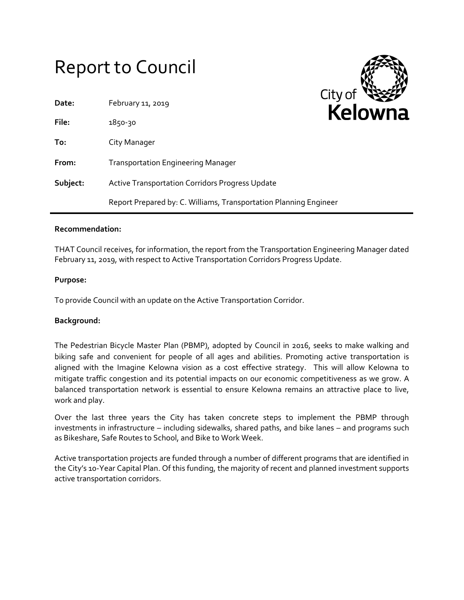# Report to Council



#### **Recommendation:**

THAT Council receives, for information, the report from the Transportation Engineering Manager dated February 11, 2019, with respect to Active Transportation Corridors Progress Update.

#### **Purpose:**

To provide Council with an update on the Active Transportation Corridor.

### **Background:**

The Pedestrian Bicycle Master Plan (PBMP), adopted by Council in 2016, seeks to make walking and biking safe and convenient for people of all ages and abilities. Promoting active transportation is aligned with the Imagine Kelowna vision as a cost effective strategy. This will allow Kelowna to mitigate traffic congestion and its potential impacts on our economic competitiveness as we grow. A balanced transportation network is essential to ensure Kelowna remains an attractive place to live, work and play.

Over the last three years the City has taken concrete steps to implement the PBMP through investments in infrastructure – including sidewalks, shared paths, and bike lanes – and programs such as Bikeshare, Safe Routes to School, and Bike to Work Week.

Active transportation projects are funded through a number of different programs that are identified in the City's 10-Year Capital Plan. Of this funding, the majority of recent and planned investment supports active transportation corridors.

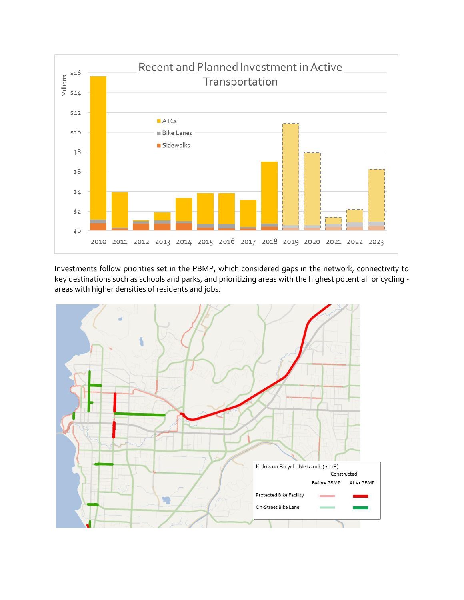

Investments follow priorities set in the PBMP, which considered gaps in the network, connectivity to key destinations such as schools and parks, and prioritizing areas with the highest potential for cycling areas with higher densities of residents and jobs.

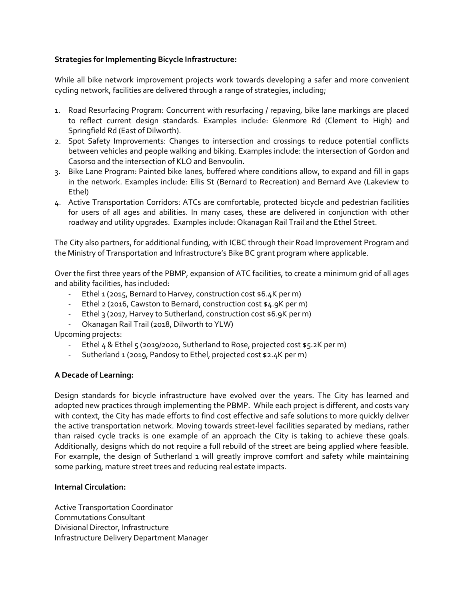## **Strategies for Implementing Bicycle Infrastructure:**

While all bike network improvement projects work towards developing a safer and more convenient cycling network, facilities are delivered through a range of strategies, including;

- 1. Road Resurfacing Program: Concurrent with resurfacing / repaving, bike lane markings are placed to reflect current design standards. Examples include: Glenmore Rd (Clement to High) and Springfield Rd (East of Dilworth).
- 2. Spot Safety Improvements: Changes to intersection and crossings to reduce potential conflicts between vehicles and people walking and biking. Examples include: the intersection of Gordon and Casorso and the intersection of KLO and Benvoulin.
- 3. Bike Lane Program: Painted bike lanes, buffered where conditions allow, to expand and fill in gaps in the network. Examples include: Ellis St (Bernard to Recreation) and Bernard Ave (Lakeview to Ethel)
- 4. Active Transportation Corridors: ATCs are comfortable, protected bicycle and pedestrian facilities for users of all ages and abilities. In many cases, these are delivered in conjunction with other roadway and utility upgrades. Examples include: Okanagan Rail Trail and the Ethel Street.

The City also partners, for additional funding, with ICBC through their Road Improvement Program and the Ministry of Transportation and Infrastructure's Bike BC grant program where applicable.

Over the first three years of the PBMP, expansion of ATC facilities, to create a minimum grid of all ages and ability facilities, has included:

- Ethel 1 (2015, Bernard to Harvey, construction cost \$6.4K per m)
- Ethel 2 (2016, Cawston to Bernard, construction cost \$4.9K per m)
- Ethel 3 (2017, Harvey to Sutherland, construction cost \$6.9K per m)
- Okanagan Rail Trail (2018, Dilworth to YLW)

Upcoming projects:

- Ethel 4 & Ethel 5 (2019/2020, Sutherland to Rose, projected cost \$5.2K per m)
- Sutherland 1 (2019, Pandosy to Ethel, projected cost \$2.4K per m)

## **A Decade of Learning:**

Design standards for bicycle infrastructure have evolved over the years. The City has learned and adopted new practices through implementing the PBMP. While each project is different, and costs vary with context, the City has made efforts to find cost effective and safe solutions to more quickly deliver the active transportation network. Moving towards street-level facilities separated by medians, rather than raised cycle tracks is one example of an approach the City is taking to achieve these goals. Additionally, designs which do not require a full rebuild of the street are being applied where feasible. For example, the design of Sutherland 1 will greatly improve comfort and safety while maintaining some parking, mature street trees and reducing real estate impacts.

## **Internal Circulation:**

Active Transportation Coordinator Commutations Consultant Divisional Director, Infrastructure Infrastructure Delivery Department Manager